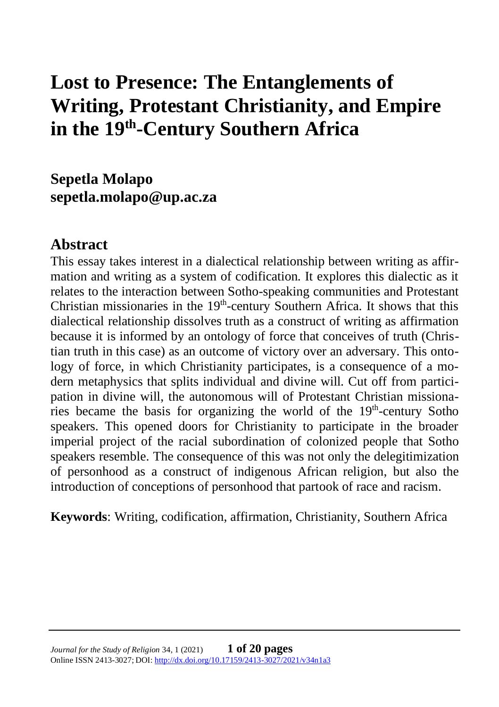# **Lost to Presence: The Entanglements of Writing, Protestant Christianity, and Empire in the 19th -Century Southern Africa**

**Sepetla Molapo sepetla.molapo@up.ac.za**

## **Abstract**

This essay takes interest in a dialectical relationship between writing as affirmation and writing as a system of codification. It explores this dialectic as it relates to the interaction between Sotho-speaking communities and Protestant Christian missionaries in the  $19<sup>th</sup>$ -century Southern Africa. It shows that this dialectical relationship dissolves truth as a construct of writing as affirmation because it is informed by an ontology of force that conceives of truth (Christian truth in this case) as an outcome of victory over an adversary. This ontology of force, in which Christianity participates, is a consequence of a modern metaphysics that splits individual and divine will. Cut off from participation in divine will, the autonomous will of Protestant Christian missionaries became the basis for organizing the world of the  $19<sup>th</sup>$ -century Sotho speakers. This opened doors for Christianity to participate in the broader imperial project of the racial subordination of colonized people that Sotho speakers resemble. The consequence of this was not only the delegitimization of personhood as a construct of indigenous African religion, but also the introduction of conceptions of personhood that partook of race and racism.

**Keywords**: Writing, codification, affirmation, Christianity, Southern Africa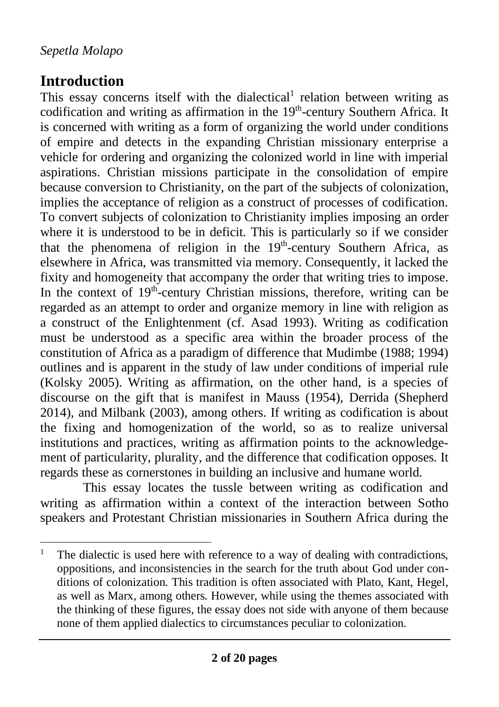# **Introduction**

This essay concerns itself with the dialectical<sup>1</sup> relation between writing as codification and writing as affirmation in the  $19<sup>th</sup>$ -century Southern Africa. It is concerned with writing as a form of organizing the world under conditions of empire and detects in the expanding Christian missionary enterprise a vehicle for ordering and organizing the colonized world in line with imperial aspirations. Christian missions participate in the consolidation of empire because conversion to Christianity, on the part of the subjects of colonization, implies the acceptance of religion as a construct of processes of codification. To convert subjects of colonization to Christianity implies imposing an order where it is understood to be in deficit. This is particularly so if we consider that the phenomena of religion in the 19<sup>th</sup>-century Southern Africa, as elsewhere in Africa, was transmitted via memory. Consequently, it lacked the fixity and homogeneity that accompany the order that writing tries to impose. In the context of  $19<sup>th</sup>$ -century Christian missions, therefore, writing can be regarded as an attempt to order and organize memory in line with religion as a construct of the Enlightenment (cf. Asad 1993). Writing as codification must be understood as a specific area within the broader process of the constitution of Africa as a paradigm of difference that Mudimbe (1988; 1994) outlines and is apparent in the study of law under conditions of imperial rule (Kolsky 2005). Writing as affirmation, on the other hand, is a species of discourse on the gift that is manifest in Mauss (1954), Derrida (Shepherd 2014), and Milbank (2003), among others. If writing as codification is about the fixing and homogenization of the world, so as to realize universal institutions and practices, writing as affirmation points to the acknowledgement of particularity, plurality, and the difference that codification opposes. It regards these as cornerstones in building an inclusive and humane world.

This essay locates the tussle between writing as codification and writing as affirmation within a context of the interaction between Sotho speakers and Protestant Christian missionaries in Southern Africa during the

<sup>&</sup>lt;sup>1</sup> The dialectic is used here with reference to a way of dealing with contradictions, oppositions, and inconsistencies in the search for the truth about God under conditions of colonization. This tradition is often associated with Plato, Kant, Hegel, as well as Marx, among others. However, while using the themes associated with the thinking of these figures, the essay does not side with anyone of them because none of them applied dialectics to circumstances peculiar to colonization.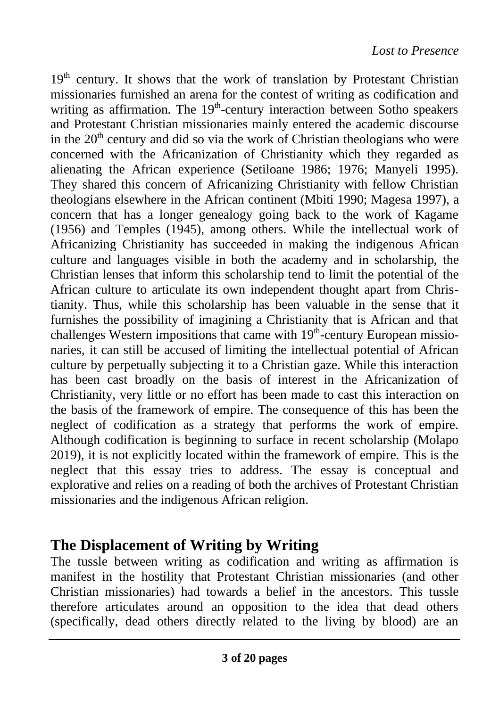$19<sup>th</sup>$  century. It shows that the work of translation by Protestant Christian missionaries furnished an arena for the contest of writing as codification and writing as affirmation. The  $19<sup>th</sup>$ -century interaction between Sotho speakers and Protestant Christian missionaries mainly entered the academic discourse in the  $20<sup>th</sup>$  century and did so via the work of Christian theologians who were concerned with the Africanization of Christianity which they regarded as alienating the African experience (Setiloane 1986; 1976; Manyeli 1995). They shared this concern of Africanizing Christianity with fellow Christian theologians elsewhere in the African continent (Mbiti 1990; Magesa 1997), a concern that has a longer genealogy going back to the work of Kagame (1956) and Temples (1945), among others. While the intellectual work of Africanizing Christianity has succeeded in making the indigenous African culture and languages visible in both the academy and in scholarship, the Christian lenses that inform this scholarship tend to limit the potential of the African culture to articulate its own independent thought apart from Christianity. Thus, while this scholarship has been valuable in the sense that it furnishes the possibility of imagining a Christianity that is African and that challenges Western impositions that came with 19<sup>th</sup>-century European missionaries, it can still be accused of limiting the intellectual potential of African culture by perpetually subjecting it to a Christian gaze. While this interaction has been cast broadly on the basis of interest in the Africanization of Christianity, very little or no effort has been made to cast this interaction on the basis of the framework of empire. The consequence of this has been the neglect of codification as a strategy that performs the work of empire. Although codification is beginning to surface in recent scholarship (Molapo 2019), it is not explicitly located within the framework of empire. This is the neglect that this essay tries to address. The essay is conceptual and explorative and relies on a reading of both the archives of Protestant Christian missionaries and the indigenous African religion.

## **The Displacement of Writing by Writing**

The tussle between writing as codification and writing as affirmation is manifest in the hostility that Protestant Christian missionaries (and other Christian missionaries) had towards a belief in the ancestors. This tussle therefore articulates around an opposition to the idea that dead others (specifically, dead others directly related to the living by blood) are an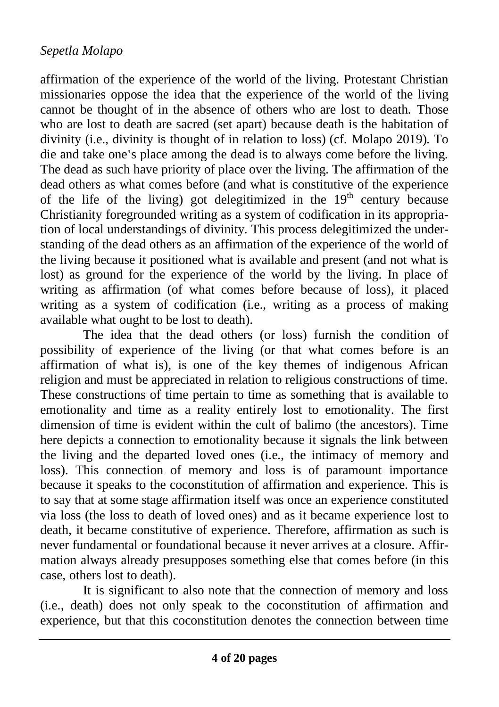affirmation of the experience of the world of the living. Protestant Christian missionaries oppose the idea that the experience of the world of the living cannot be thought of in the absence of others who are lost to death. Those who are lost to death are sacred (set apart) because death is the habitation of divinity (i.e., divinity is thought of in relation to loss) (cf. Molapo 2019). To die and take one's place among the dead is to always come before the living. The dead as such have priority of place over the living. The affirmation of the dead others as what comes before (and what is constitutive of the experience of the life of the living) got delegitimized in the  $19<sup>th</sup>$  century because Christianity foregrounded writing as a system of codification in its appropriation of local understandings of divinity. This process delegitimized the understanding of the dead others as an affirmation of the experience of the world of the living because it positioned what is available and present (and not what is lost) as ground for the experience of the world by the living. In place of writing as affirmation (of what comes before because of loss), it placed writing as a system of codification (i.e., writing as a process of making available what ought to be lost to death).

The idea that the dead others (or loss) furnish the condition of possibility of experience of the living (or that what comes before is an affirmation of what is), is one of the key themes of indigenous African religion and must be appreciated in relation to religious constructions of time. These constructions of time pertain to time as something that is available to emotionality and time as a reality entirely lost to emotionality. The first dimension of time is evident within the cult of balimo (the ancestors). Time here depicts a connection to emotionality because it signals the link between the living and the departed loved ones (i.e., the intimacy of memory and loss). This connection of memory and loss is of paramount importance because it speaks to the coconstitution of affirmation and experience. This is to say that at some stage affirmation itself was once an experience constituted via loss (the loss to death of loved ones) and as it became experience lost to death, it became constitutive of experience. Therefore, affirmation as such is never fundamental or foundational because it never arrives at a closure. Affirmation always already presupposes something else that comes before (in this case, others lost to death).

It is significant to also note that the connection of memory and loss (i.e., death) does not only speak to the coconstitution of affirmation and experience, but that this coconstitution denotes the connection between time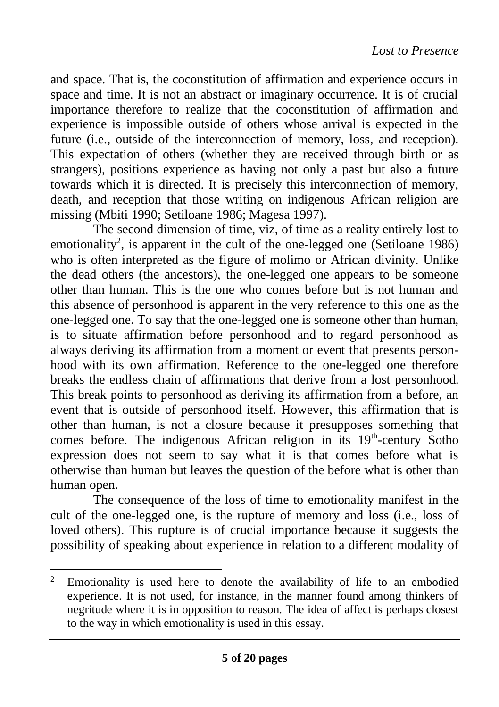and space. That is, the coconstitution of affirmation and experience occurs in space and time. It is not an abstract or imaginary occurrence. It is of crucial importance therefore to realize that the coconstitution of affirmation and experience is impossible outside of others whose arrival is expected in the future (i.e., outside of the interconnection of memory, loss, and reception). This expectation of others (whether they are received through birth or as strangers), positions experience as having not only a past but also a future towards which it is directed. It is precisely this interconnection of memory, death, and reception that those writing on indigenous African religion are missing (Mbiti 1990; Setiloane 1986; Magesa 1997).

The second dimension of time, viz, of time as a reality entirely lost to emotionality<sup>2</sup>, is apparent in the cult of the one-legged one (Setiloane 1986) who is often interpreted as the figure of molimo or African divinity. Unlike the dead others (the ancestors), the one-legged one appears to be someone other than human. This is the one who comes before but is not human and this absence of personhood is apparent in the very reference to this one as the one-legged one. To say that the one-legged one is someone other than human, is to situate affirmation before personhood and to regard personhood as always deriving its affirmation from a moment or event that presents personhood with its own affirmation. Reference to the one-legged one therefore breaks the endless chain of affirmations that derive from a lost personhood. This break points to personhood as deriving its affirmation from a before, an event that is outside of personhood itself. However, this affirmation that is other than human, is not a closure because it presupposes something that comes before. The indigenous African religion in its  $19<sup>th</sup>$ -century Sotho expression does not seem to say what it is that comes before what is otherwise than human but leaves the question of the before what is other than human open.

The consequence of the loss of time to emotionality manifest in the cult of the one-legged one, is the rupture of memory and loss (i.e., loss of loved others). This rupture is of crucial importance because it suggests the possibility of speaking about experience in relation to a different modality of

<sup>&</sup>lt;sup>2</sup> Emotionality is used here to denote the availability of life to an embodied experience. It is not used, for instance, in the manner found among thinkers of negritude where it is in opposition to reason. The idea of affect is perhaps closest to the way in which emotionality is used in this essay.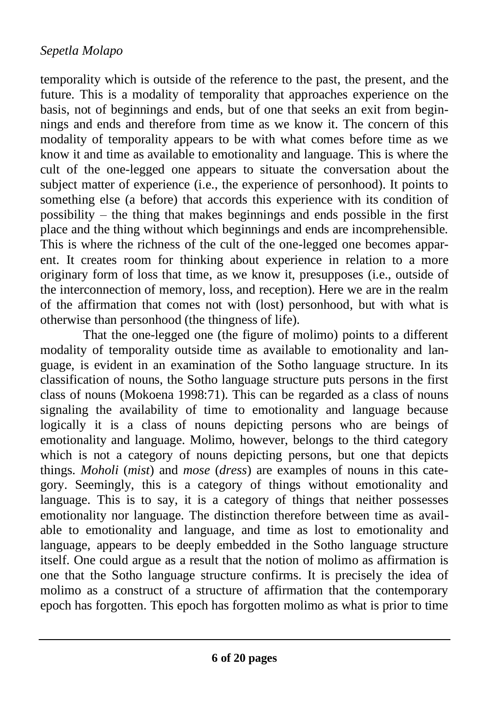temporality which is outside of the reference to the past, the present, and the future. This is a modality of temporality that approaches experience on the basis, not of beginnings and ends, but of one that seeks an exit from beginnings and ends and therefore from time as we know it. The concern of this modality of temporality appears to be with what comes before time as we know it and time as available to emotionality and language. This is where the cult of the one-legged one appears to situate the conversation about the subject matter of experience (i.e., the experience of personhood). It points to something else (a before) that accords this experience with its condition of possibility – the thing that makes beginnings and ends possible in the first place and the thing without which beginnings and ends are incomprehensible. This is where the richness of the cult of the one-legged one becomes apparent. It creates room for thinking about experience in relation to a more originary form of loss that time, as we know it, presupposes (i.e., outside of the interconnection of memory, loss, and reception). Here we are in the realm of the affirmation that comes not with (lost) personhood, but with what is otherwise than personhood (the thingness of life).

That the one-legged one (the figure of molimo) points to a different modality of temporality outside time as available to emotionality and language, is evident in an examination of the Sotho language structure. In its classification of nouns, the Sotho language structure puts persons in the first class of nouns (Mokoena 1998:71). This can be regarded as a class of nouns signaling the availability of time to emotionality and language because logically it is a class of nouns depicting persons who are beings of emotionality and language. Molimo, however, belongs to the third category which is not a category of nouns depicting persons, but one that depicts things. *Moholi* (*mist*) and *mose* (*dress*) are examples of nouns in this category. Seemingly, this is a category of things without emotionality and language. This is to say, it is a category of things that neither possesses emotionality nor language. The distinction therefore between time as available to emotionality and language, and time as lost to emotionality and language, appears to be deeply embedded in the Sotho language structure itself. One could argue as a result that the notion of molimo as affirmation is one that the Sotho language structure confirms. It is precisely the idea of molimo as a construct of a structure of affirmation that the contemporary epoch has forgotten. This epoch has forgotten molimo as what is prior to time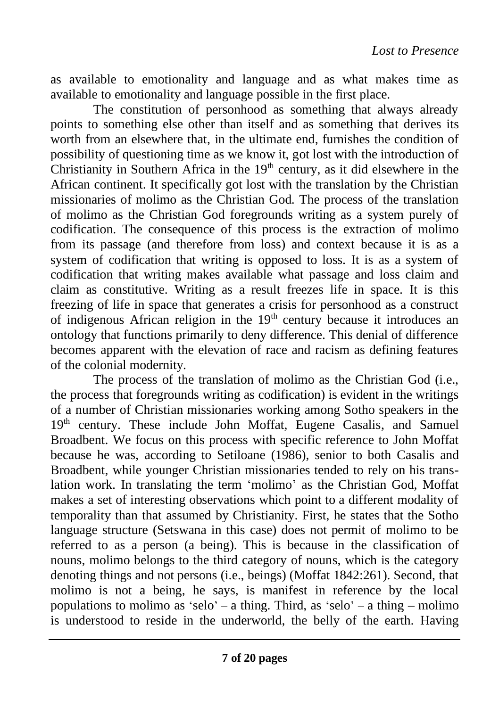as available to emotionality and language and as what makes time as available to emotionality and language possible in the first place.

The constitution of personhood as something that always already points to something else other than itself and as something that derives its worth from an elsewhere that, in the ultimate end, furnishes the condition of possibility of questioning time as we know it, got lost with the introduction of Christianity in Southern Africa in the  $19<sup>th</sup>$  century, as it did elsewhere in the African continent. It specifically got lost with the translation by the Christian missionaries of molimo as the Christian God. The process of the translation of molimo as the Christian God foregrounds writing as a system purely of codification. The consequence of this process is the extraction of molimo from its passage (and therefore from loss) and context because it is as a system of codification that writing is opposed to loss. It is as a system of codification that writing makes available what passage and loss claim and claim as constitutive. Writing as a result freezes life in space. It is this freezing of life in space that generates a crisis for personhood as a construct of indigenous African religion in the  $19<sup>th</sup>$  century because it introduces an ontology that functions primarily to deny difference. This denial of difference becomes apparent with the elevation of race and racism as defining features of the colonial modernity.

The process of the translation of molimo as the Christian God (i.e., the process that foregrounds writing as codification) is evident in the writings of a number of Christian missionaries working among Sotho speakers in the 19<sup>th</sup> century. These include John Moffat, Eugene Casalis, and Samuel Broadbent. We focus on this process with specific reference to John Moffat because he was, according to Setiloane (1986), senior to both Casalis and Broadbent, while younger Christian missionaries tended to rely on his translation work. In translating the term 'molimo' as the Christian God, Moffat makes a set of interesting observations which point to a different modality of temporality than that assumed by Christianity. First, he states that the Sotho language structure (Setswana in this case) does not permit of molimo to be referred to as a person (a being). This is because in the classification of nouns, molimo belongs to the third category of nouns, which is the category denoting things and not persons (i.e., beings) (Moffat 1842:261). Second, that molimo is not a being, he says, is manifest in reference by the local populations to molimo as 'selo' – a thing. Third, as 'selo' – a thing – molimo is understood to reside in the underworld, the belly of the earth. Having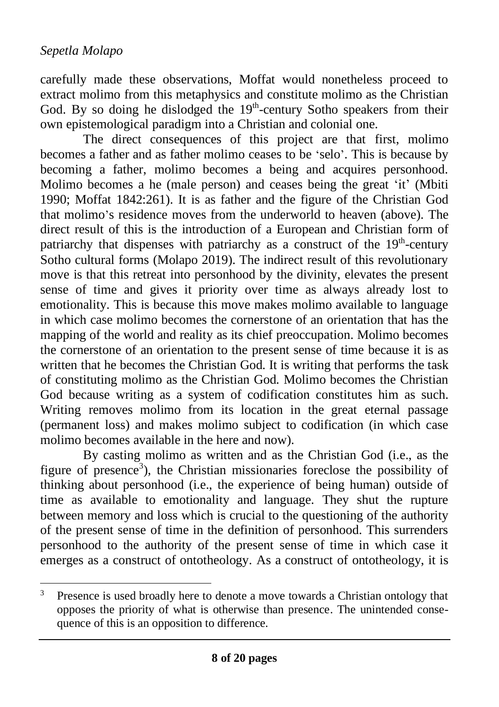carefully made these observations, Moffat would nonetheless proceed to extract molimo from this metaphysics and constitute molimo as the Christian God. By so doing he dislodged the  $19<sup>th</sup>$ -century Sotho speakers from their own epistemological paradigm into a Christian and colonial one.

The direct consequences of this project are that first, molimo becomes a father and as father molimo ceases to be 'selo'. This is because by becoming a father, molimo becomes a being and acquires personhood. Molimo becomes a he (male person) and ceases being the great 'it' (Mbiti 1990; Moffat 1842:261). It is as father and the figure of the Christian God that molimo's residence moves from the underworld to heaven (above). The direct result of this is the introduction of a European and Christian form of patriarchy that dispenses with patriarchy as a construct of the  $19<sup>th</sup>$ -century Sotho cultural forms (Molapo 2019). The indirect result of this revolutionary move is that this retreat into personhood by the divinity, elevates the present sense of time and gives it priority over time as always already lost to emotionality. This is because this move makes molimo available to language in which case molimo becomes the cornerstone of an orientation that has the mapping of the world and reality as its chief preoccupation. Molimo becomes the cornerstone of an orientation to the present sense of time because it is as written that he becomes the Christian God. It is writing that performs the task of constituting molimo as the Christian God. Molimo becomes the Christian God because writing as a system of codification constitutes him as such. Writing removes molimo from its location in the great eternal passage (permanent loss) and makes molimo subject to codification (in which case molimo becomes available in the here and now).

By casting molimo as written and as the Christian God (i.e., as the figure of presence<sup>3</sup>), the Christian missionaries foreclose the possibility of thinking about personhood (i.e., the experience of being human) outside of time as available to emotionality and language. They shut the rupture between memory and loss which is crucial to the questioning of the authority of the present sense of time in the definition of personhood. This surrenders personhood to the authority of the present sense of time in which case it emerges as a construct of ontotheology. As a construct of ontotheology, it is

<sup>&</sup>lt;sup>3</sup> Presence is used broadly here to denote a move towards a Christian ontology that opposes the priority of what is otherwise than presence. The unintended consequence of this is an opposition to difference.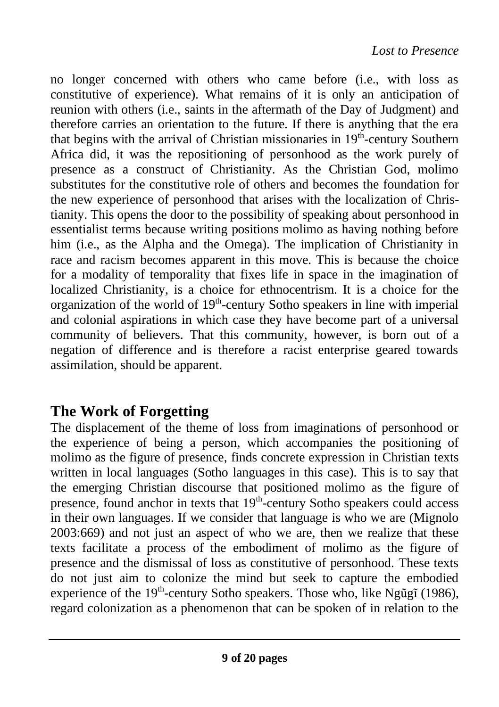no longer concerned with others who came before (i.e., with loss as constitutive of experience). What remains of it is only an anticipation of reunion with others (i.e., saints in the aftermath of the Day of Judgment) and therefore carries an orientation to the future. If there is anything that the era that begins with the arrival of Christian missionaries in 19<sup>th</sup>-century Southern Africa did, it was the repositioning of personhood as the work purely of presence as a construct of Christianity. As the Christian God, molimo substitutes for the constitutive role of others and becomes the foundation for the new experience of personhood that arises with the localization of Christianity. This opens the door to the possibility of speaking about personhood in essentialist terms because writing positions molimo as having nothing before him (i.e., as the Alpha and the Omega). The implication of Christianity in race and racism becomes apparent in this move. This is because the choice for a modality of temporality that fixes life in space in the imagination of localized Christianity, is a choice for ethnocentrism. It is a choice for the organization of the world of  $19<sup>th</sup>$ -century Sotho speakers in line with imperial and colonial aspirations in which case they have become part of a universal community of believers. That this community, however, is born out of a negation of difference and is therefore a racist enterprise geared towards assimilation, should be apparent.

## **The Work of Forgetting**

The displacement of the theme of loss from imaginations of personhood or the experience of being a person, which accompanies the positioning of molimo as the figure of presence, finds concrete expression in Christian texts written in local languages (Sotho languages in this case). This is to say that the emerging Christian discourse that positioned molimo as the figure of presence, found anchor in texts that 19<sup>th</sup>-century Sotho speakers could access in their own languages. If we consider that language is who we are (Mignolo 2003:669) and not just an aspect of who we are, then we realize that these texts facilitate a process of the embodiment of molimo as the figure of presence and the dismissal of loss as constitutive of personhood. These texts do not just aim to colonize the mind but seek to capture the embodied experience of the 19<sup>th</sup>-century Sotho speakers. Those who, like Ngũgĩ (1986), regard colonization as a phenomenon that can be spoken of in relation to the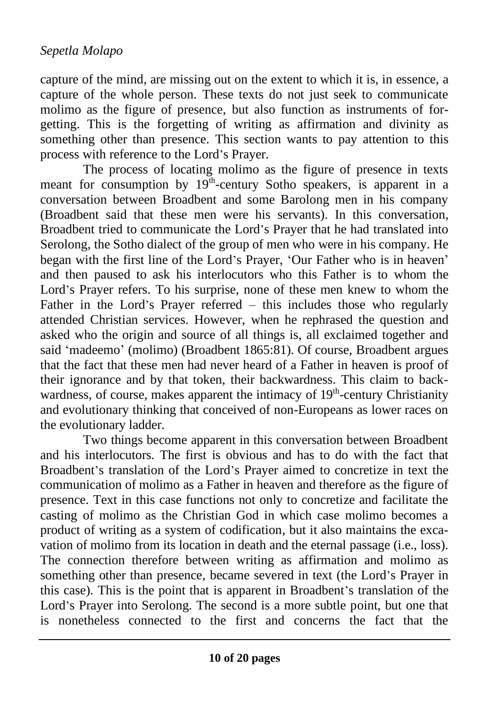capture of the mind, are missing out on the extent to which it is, in essence, a capture of the whole person. These texts do not just seek to communicate molimo as the figure of presence, but also function as instruments of forgetting. This is the forgetting of writing as affirmation and divinity as something other than presence. This section wants to pay attention to this process with reference to the Lord's Prayer.

The process of locating molimo as the figure of presence in texts meant for consumption by 19<sup>th</sup>-century Sotho speakers, is apparent in a conversation between Broadbent and some Barolong men in his company (Broadbent said that these men were his servants). In this conversation, Broadbent tried to communicate the Lord's Prayer that he had translated into Serolong, the Sotho dialect of the group of men who were in his company. He began with the first line of the Lord's Prayer, 'Our Father who is in heaven' and then paused to ask his interlocutors who this Father is to whom the Lord's Prayer refers. To his surprise, none of these men knew to whom the Father in the Lord's Prayer referred – this includes those who regularly attended Christian services. However, when he rephrased the question and asked who the origin and source of all things is, all exclaimed together and said 'madeemo' (molimo) (Broadbent 1865:81). Of course, Broadbent argues that the fact that these men had never heard of a Father in heaven is proof of their ignorance and by that token, their backwardness. This claim to backwardness, of course, makes apparent the intimacy of 19<sup>th</sup>-century Christianity and evolutionary thinking that conceived of non-Europeans as lower races on the evolutionary ladder.

Two things become apparent in this conversation between Broadbent and his interlocutors. The first is obvious and has to do with the fact that Broadbent's translation of the Lord's Prayer aimed to concretize in text the communication of molimo as a Father in heaven and therefore as the figure of presence. Text in this case functions not only to concretize and facilitate the casting of molimo as the Christian God in which case molimo becomes a product of writing as a system of codification, but it also maintains the excavation of molimo from its location in death and the eternal passage (i.e., loss). The connection therefore between writing as affirmation and molimo as something other than presence, became severed in text (the Lord's Prayer in this case). This is the point that is apparent in Broadbent's translation of the Lord's Prayer into Serolong. The second is a more subtle point, but one that is nonetheless connected to the first and concerns the fact that the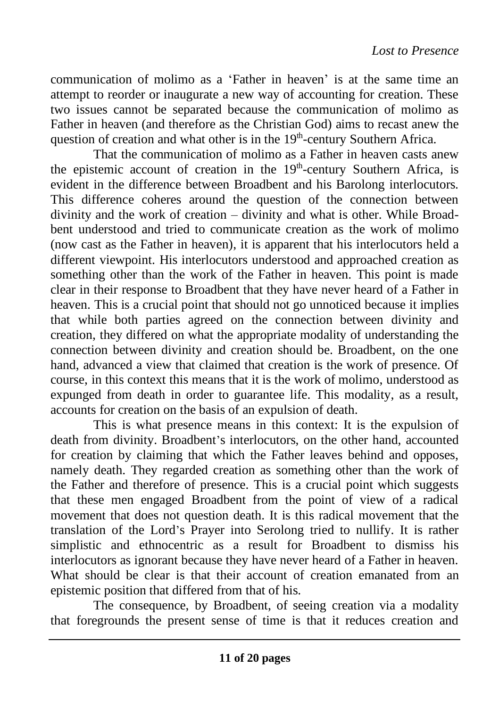communication of molimo as a 'Father in heaven' is at the same time an attempt to reorder or inaugurate a new way of accounting for creation. These two issues cannot be separated because the communication of molimo as Father in heaven (and therefore as the Christian God) aims to recast anew the question of creation and what other is in the 19<sup>th</sup>-century Southern Africa.

That the communication of molimo as a Father in heaven casts anew the epistemic account of creation in the  $19<sup>th</sup>$ -century Southern Africa, is evident in the difference between Broadbent and his Barolong interlocutors. This difference coheres around the question of the connection between divinity and the work of creation – divinity and what is other. While Broadbent understood and tried to communicate creation as the work of molimo (now cast as the Father in heaven), it is apparent that his interlocutors held a different viewpoint. His interlocutors understood and approached creation as something other than the work of the Father in heaven. This point is made clear in their response to Broadbent that they have never heard of a Father in heaven. This is a crucial point that should not go unnoticed because it implies that while both parties agreed on the connection between divinity and creation, they differed on what the appropriate modality of understanding the connection between divinity and creation should be. Broadbent, on the one hand, advanced a view that claimed that creation is the work of presence. Of course, in this context this means that it is the work of molimo, understood as expunged from death in order to guarantee life. This modality, as a result, accounts for creation on the basis of an expulsion of death.

This is what presence means in this context: It is the expulsion of death from divinity. Broadbent's interlocutors, on the other hand, accounted for creation by claiming that which the Father leaves behind and opposes, namely death. They regarded creation as something other than the work of the Father and therefore of presence. This is a crucial point which suggests that these men engaged Broadbent from the point of view of a radical movement that does not question death. It is this radical movement that the translation of the Lord's Prayer into Serolong tried to nullify. It is rather simplistic and ethnocentric as a result for Broadbent to dismiss his interlocutors as ignorant because they have never heard of a Father in heaven. What should be clear is that their account of creation emanated from an epistemic position that differed from that of his.

The consequence, by Broadbent, of seeing creation via a modality that foregrounds the present sense of time is that it reduces creation and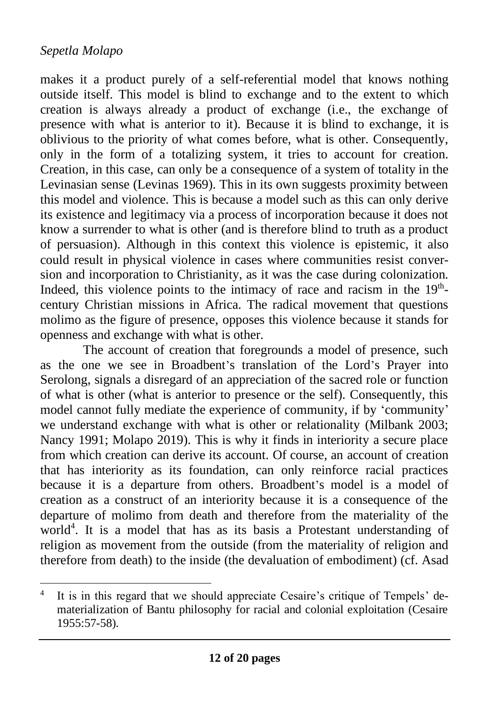makes it a product purely of a self-referential model that knows nothing outside itself. This model is blind to exchange and to the extent to which creation is always already a product of exchange (i.e., the exchange of presence with what is anterior to it). Because it is blind to exchange, it is oblivious to the priority of what comes before, what is other. Consequently, only in the form of a totalizing system, it tries to account for creation. Creation, in this case, can only be a consequence of a system of totality in the Levinasian sense (Levinas 1969). This in its own suggests proximity between this model and violence. This is because a model such as this can only derive its existence and legitimacy via a process of incorporation because it does not know a surrender to what is other (and is therefore blind to truth as a product of persuasion). Although in this context this violence is epistemic, it also could result in physical violence in cases where communities resist conversion and incorporation to Christianity, as it was the case during colonization. Indeed, this violence points to the intimacy of race and racism in the  $19<sup>th</sup>$ century Christian missions in Africa. The radical movement that questions molimo as the figure of presence, opposes this violence because it stands for openness and exchange with what is other.

The account of creation that foregrounds a model of presence, such as the one we see in Broadbent's translation of the Lord's Prayer into Serolong, signals a disregard of an appreciation of the sacred role or function of what is other (what is anterior to presence or the self). Consequently, this model cannot fully mediate the experience of community, if by 'community' we understand exchange with what is other or relationality (Milbank 2003; Nancy 1991; Molapo 2019). This is why it finds in interiority a secure place from which creation can derive its account. Of course, an account of creation that has interiority as its foundation, can only reinforce racial practices because it is a departure from others. Broadbent's model is a model of creation as a construct of an interiority because it is a consequence of the departure of molimo from death and therefore from the materiality of the world<sup>4</sup>. It is a model that has as its basis a Protestant understanding of religion as movement from the outside (from the materiality of religion and therefore from death) to the inside (the devaluation of embodiment) (cf. Asad

<sup>4</sup> It is in this regard that we should appreciate Cesaire's critique of Tempels' dematerialization of Bantu philosophy for racial and colonial exploitation (Cesaire 1955:57-58).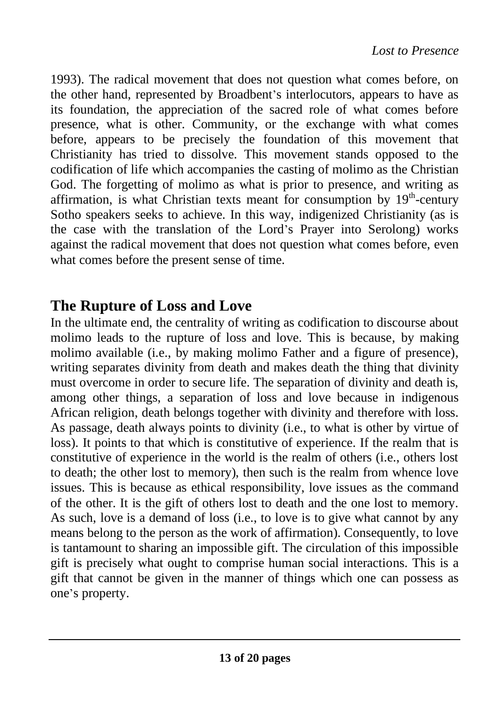1993). The radical movement that does not question what comes before, on the other hand, represented by Broadbent's interlocutors, appears to have as its foundation, the appreciation of the sacred role of what comes before presence, what is other. Community, or the exchange with what comes before, appears to be precisely the foundation of this movement that Christianity has tried to dissolve. This movement stands opposed to the codification of life which accompanies the casting of molimo as the Christian God. The forgetting of molimo as what is prior to presence, and writing as affirmation, is what Christian texts meant for consumption by  $19<sup>th</sup>$ -century Sotho speakers seeks to achieve. In this way, indigenized Christianity (as is the case with the translation of the Lord's Prayer into Serolong) works against the radical movement that does not question what comes before, even what comes before the present sense of time.

## **The Rupture of Loss and Love**

In the ultimate end, the centrality of writing as codification to discourse about molimo leads to the rupture of loss and love. This is because, by making molimo available (i.e., by making molimo Father and a figure of presence), writing separates divinity from death and makes death the thing that divinity must overcome in order to secure life. The separation of divinity and death is, among other things, a separation of loss and love because in indigenous African religion, death belongs together with divinity and therefore with loss. As passage, death always points to divinity (i.e., to what is other by virtue of loss). It points to that which is constitutive of experience. If the realm that is constitutive of experience in the world is the realm of others (i.e., others lost to death; the other lost to memory), then such is the realm from whence love issues. This is because as ethical responsibility, love issues as the command of the other. It is the gift of others lost to death and the one lost to memory. As such, love is a demand of loss (i.e., to love is to give what cannot by any means belong to the person as the work of affirmation). Consequently, to love is tantamount to sharing an impossible gift. The circulation of this impossible gift is precisely what ought to comprise human social interactions. This is a gift that cannot be given in the manner of things which one can possess as one's property.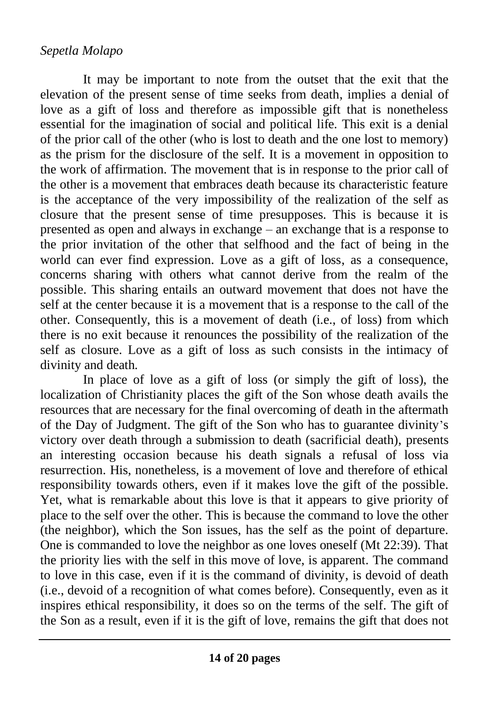It may be important to note from the outset that the exit that the elevation of the present sense of time seeks from death, implies a denial of love as a gift of loss and therefore as impossible gift that is nonetheless essential for the imagination of social and political life. This exit is a denial of the prior call of the other (who is lost to death and the one lost to memory) as the prism for the disclosure of the self. It is a movement in opposition to the work of affirmation. The movement that is in response to the prior call of the other is a movement that embraces death because its characteristic feature is the acceptance of the very impossibility of the realization of the self as closure that the present sense of time presupposes. This is because it is presented as open and always in exchange – an exchange that is a response to the prior invitation of the other that selfhood and the fact of being in the world can ever find expression. Love as a gift of loss, as a consequence, concerns sharing with others what cannot derive from the realm of the possible. This sharing entails an outward movement that does not have the self at the center because it is a movement that is a response to the call of the other. Consequently, this is a movement of death (i.e., of loss) from which there is no exit because it renounces the possibility of the realization of the self as closure. Love as a gift of loss as such consists in the intimacy of divinity and death.

In place of love as a gift of loss (or simply the gift of loss), the localization of Christianity places the gift of the Son whose death avails the resources that are necessary for the final overcoming of death in the aftermath of the Day of Judgment. The gift of the Son who has to guarantee divinity's victory over death through a submission to death (sacrificial death), presents an interesting occasion because his death signals a refusal of loss via resurrection. His, nonetheless, is a movement of love and therefore of ethical responsibility towards others, even if it makes love the gift of the possible. Yet, what is remarkable about this love is that it appears to give priority of place to the self over the other. This is because the command to love the other (the neighbor), which the Son issues, has the self as the point of departure. One is commanded to love the neighbor as one loves oneself (Mt 22:39). That the priority lies with the self in this move of love, is apparent. The command to love in this case, even if it is the command of divinity, is devoid of death (i.e., devoid of a recognition of what comes before). Consequently, even as it inspires ethical responsibility, it does so on the terms of the self. The gift of the Son as a result, even if it is the gift of love, remains the gift that does not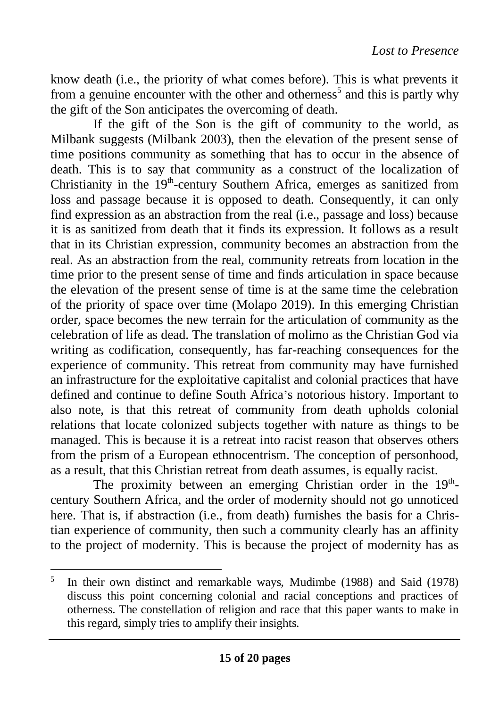know death (i.e., the priority of what comes before). This is what prevents it from a genuine encounter with the other and otherness<sup>5</sup> and this is partly why the gift of the Son anticipates the overcoming of death.

If the gift of the Son is the gift of community to the world, as Milbank suggests (Milbank 2003), then the elevation of the present sense of time positions community as something that has to occur in the absence of death. This is to say that community as a construct of the localization of Christianity in the  $19<sup>th</sup>$ -century Southern Africa, emerges as sanitized from loss and passage because it is opposed to death. Consequently, it can only find expression as an abstraction from the real (i.e., passage and loss) because it is as sanitized from death that it finds its expression. It follows as a result that in its Christian expression, community becomes an abstraction from the real. As an abstraction from the real, community retreats from location in the time prior to the present sense of time and finds articulation in space because the elevation of the present sense of time is at the same time the celebration of the priority of space over time (Molapo 2019). In this emerging Christian order, space becomes the new terrain for the articulation of community as the celebration of life as dead. The translation of molimo as the Christian God via writing as codification, consequently, has far-reaching consequences for the experience of community. This retreat from community may have furnished an infrastructure for the exploitative capitalist and colonial practices that have defined and continue to define South Africa's notorious history. Important to also note, is that this retreat of community from death upholds colonial relations that locate colonized subjects together with nature as things to be managed. This is because it is a retreat into racist reason that observes others from the prism of a European ethnocentrism. The conception of personhood, as a result, that this Christian retreat from death assumes, is equally racist.

The proximity between an emerging Christian order in the 19<sup>th</sup>century Southern Africa, and the order of modernity should not go unnoticed here. That is, if abstraction (i.e., from death) furnishes the basis for a Christian experience of community, then such a community clearly has an affinity to the project of modernity. This is because the project of modernity has as

<sup>5</sup> In their own distinct and remarkable ways, Mudimbe (1988) and Said (1978) discuss this point concerning colonial and racial conceptions and practices of otherness. The constellation of religion and race that this paper wants to make in this regard, simply tries to amplify their insights.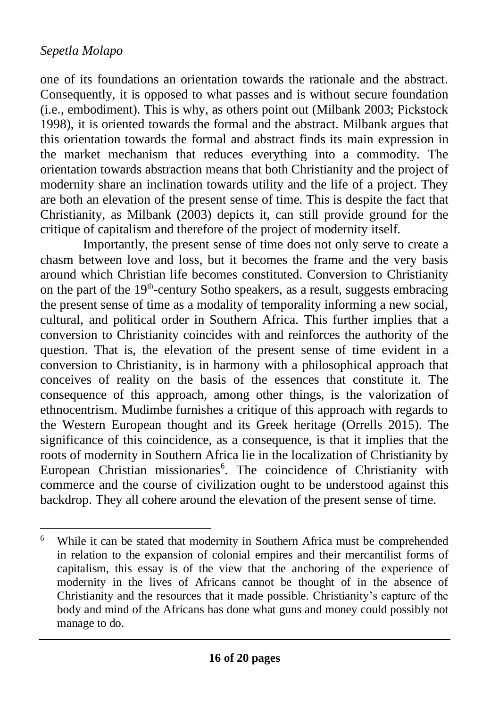one of its foundations an orientation towards the rationale and the abstract. Consequently, it is opposed to what passes and is without secure foundation (i.e., embodiment). This is why, as others point out (Milbank 2003; Pickstock 1998), it is oriented towards the formal and the abstract. Milbank argues that this orientation towards the formal and abstract finds its main expression in the market mechanism that reduces everything into a commodity. The orientation towards abstraction means that both Christianity and the project of modernity share an inclination towards utility and the life of a project. They are both an elevation of the present sense of time. This is despite the fact that Christianity, as Milbank  $(2003)$  depicts it, can still provide ground for the critique of capitalism and therefore of the project of modernity itself.

Importantly, the present sense of time does not only serve to create a chasm between love and loss, but it becomes the frame and the very basis around which Christian life becomes constituted. Conversion to Christianity on the part of the  $19<sup>th</sup>$ -century Sotho speakers, as a result, suggests embracing the present sense of time as a modality of temporality informing a new social, cultural, and political order in Southern Africa. This further implies that a conversion to Christianity coincides with and reinforces the authority of the question. That is, the elevation of the present sense of time evident in a conversion to Christianity, is in harmony with a philosophical approach that conceives of reality on the basis of the essences that constitute it. The consequence of this approach, among other things, is the valorization of ethnocentrism. Mudimbe furnishes a critique of this approach with regards to the Western European thought and its Greek heritage (Orrells 2015). The significance of this coincidence, as a consequence, is that it implies that the roots of modernity in Southern Africa lie in the localization of Christianity by European Christian missionaries<sup>6</sup>. The coincidence of Christianity with commerce and the course of civilization ought to be understood against this backdrop. They all cohere around the elevation of the present sense of time.

<sup>6</sup> While it can be stated that modernity in Southern Africa must be comprehended in relation to the expansion of colonial empires and their mercantilist forms of capitalism, this essay is of the view that the anchoring of the experience of modernity in the lives of Africans cannot be thought of in the absence of Christianity and the resources that it made possible. Christianity's capture of the body and mind of the Africans has done what guns and money could possibly not manage to do.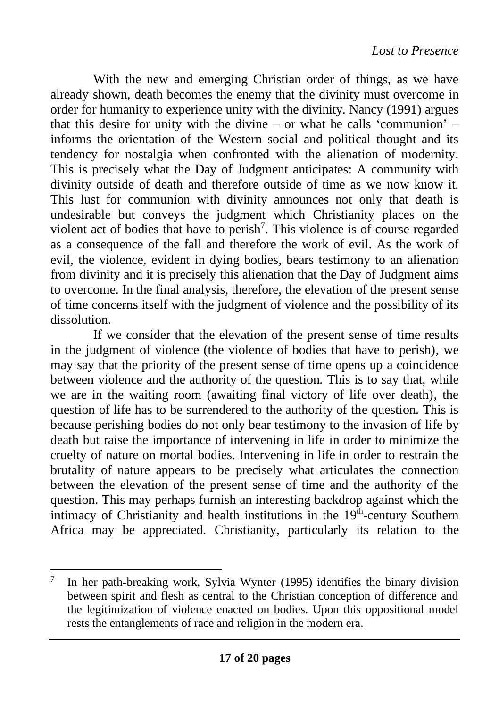With the new and emerging Christian order of things, as we have already shown, death becomes the enemy that the divinity must overcome in order for humanity to experience unity with the divinity. Nancy (1991) argues that this desire for unity with the divine – or what he calls 'communion' – informs the orientation of the Western social and political thought and its tendency for nostalgia when confronted with the alienation of modernity. This is precisely what the Day of Judgment anticipates: A community with divinity outside of death and therefore outside of time as we now know it. This lust for communion with divinity announces not only that death is undesirable but conveys the judgment which Christianity places on the violent act of bodies that have to perish<sup>7</sup>. This violence is of course regarded as a consequence of the fall and therefore the work of evil. As the work of evil, the violence, evident in dying bodies, bears testimony to an alienation from divinity and it is precisely this alienation that the Day of Judgment aims to overcome. In the final analysis, therefore, the elevation of the present sense of time concerns itself with the judgment of violence and the possibility of its dissolution.

If we consider that the elevation of the present sense of time results in the judgment of violence (the violence of bodies that have to perish), we may say that the priority of the present sense of time opens up a coincidence between violence and the authority of the question. This is to say that, while we are in the waiting room (awaiting final victory of life over death), the question of life has to be surrendered to the authority of the question. This is because perishing bodies do not only bear testimony to the invasion of life by death but raise the importance of intervening in life in order to minimize the cruelty of nature on mortal bodies. Intervening in life in order to restrain the brutality of nature appears to be precisely what articulates the connection between the elevation of the present sense of time and the authority of the question. This may perhaps furnish an interesting backdrop against which the intimacy of Christianity and health institutions in the  $19<sup>th</sup>$ -century Southern Africa may be appreciated. Christianity, particularly its relation to the

<sup>7</sup> In her path-breaking work, Sylvia Wynter (1995) identifies the binary division between spirit and flesh as central to the Christian conception of difference and the legitimization of violence enacted on bodies. Upon this oppositional model rests the entanglements of race and religion in the modern era.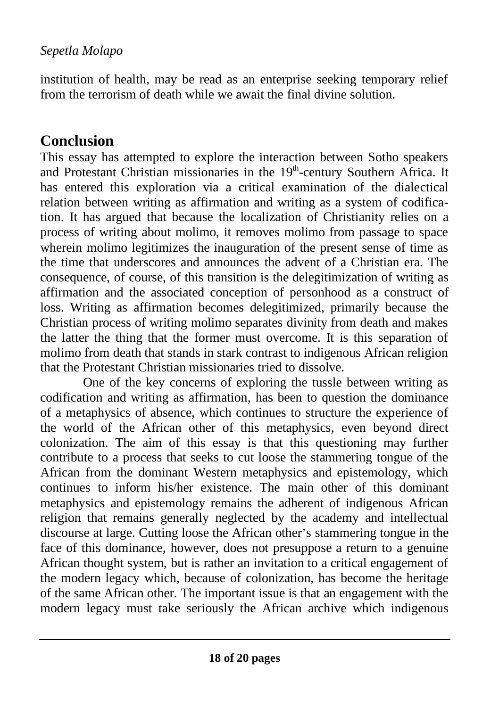institution of health, may be read as an enterprise seeking temporary relief from the terrorism of death while we await the final divine solution.

## **Conclusion**

This essay has attempted to explore the interaction between Sotho speakers and Protestant Christian missionaries in the 19<sup>th</sup>-century Southern Africa. It has entered this exploration via a critical examination of the dialectical relation between writing as affirmation and writing as a system of codification. It has argued that because the localization of Christianity relies on a process of writing about molimo, it removes molimo from passage to space wherein molimo legitimizes the inauguration of the present sense of time as the time that underscores and announces the advent of a Christian era. The consequence, of course, of this transition is the delegitimization of writing as affirmation and the associated conception of personhood as a construct of loss. Writing as affirmation becomes delegitimized, primarily because the Christian process of writing molimo separates divinity from death and makes the latter the thing that the former must overcome. It is this separation of molimo from death that stands in stark contrast to indigenous African religion that the Protestant Christian missionaries tried to dissolve.

One of the key concerns of exploring the tussle between writing as codification and writing as affirmation, has been to question the dominance of a metaphysics of absence, which continues to structure the experience of the world of the African other of this metaphysics, even beyond direct colonization. The aim of this essay is that this questioning may further contribute to a process that seeks to cut loose the stammering tongue of the African from the dominant Western metaphysics and epistemology, which continues to inform his/her existence. The main other of this dominant metaphysics and epistemology remains the adherent of indigenous African religion that remains generally neglected by the academy and intellectual discourse at large. Cutting loose the African other's stammering tongue in the face of this dominance, however, does not presuppose a return to a genuine African thought system, but is rather an invitation to a critical engagement of the modern legacy which, because of colonization, has become the heritage of the same African other. The important issue is that an engagement with the modern legacy must take seriously the African archive which indigenous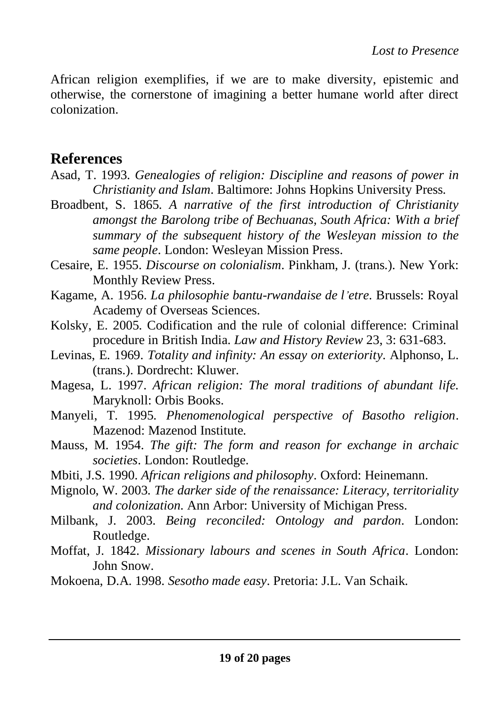African religion exemplifies, if we are to make diversity, epistemic and otherwise, the cornerstone of imagining a better humane world after direct colonization.

## **References**

- Asad, T. 1993. *Genealogies of religion: Discipline and reasons of power in Christianity and Islam*. Baltimore: Johns Hopkins University Press.
- Broadbent, S. 1865. *A narrative of the first introduction of Christianity amongst the Barolong tribe of Bechuanas, South Africa: With a brief summary of the subsequent history of the Wesleyan mission to the same people*. London: Wesleyan Mission Press.
- Cesaire, E. 1955. *Discourse on colonialism*. Pinkham, J. (trans.). New York: Monthly Review Press.
- Kagame, A. 1956. *La philosophie bantu-rwandaise de l'etre*. Brussels: Royal Academy of Overseas Sciences.
- Kolsky, E. 2005. Codification and the rule of colonial difference: Criminal procedure in British India. *Law and History Review* 23, 3: 631-683.
- Levinas, E. 1969. *Totality and infinity: An essay on exteriority*. Alphonso, L. (trans.). Dordrecht: Kluwer.
- Magesa, L. 1997. *African religion: The moral traditions of abundant life*. Maryknoll: Orbis Books.
- Manyeli, T. 1995. *Phenomenological perspective of Basotho religion*. Mazenod: Mazenod Institute.
- Mauss, M. 1954. *The gift: The form and reason for exchange in archaic societies*. London: Routledge.
- Mbiti, J.S. 1990. *African religions and philosophy*. Oxford: Heinemann.
- Mignolo, W. 2003. *The darker side of the renaissance: Literacy, territoriality and colonization*. Ann Arbor: University of Michigan Press.
- Milbank, J. 2003. *Being reconciled: Ontology and pardon*. London: Routledge.
- Moffat, J. 1842. *Missionary labours and scenes in South Africa*. London: John Snow.
- Mokoena, D.A. 1998. *Sesotho made easy*. Pretoria: J.L. Van Schaik.